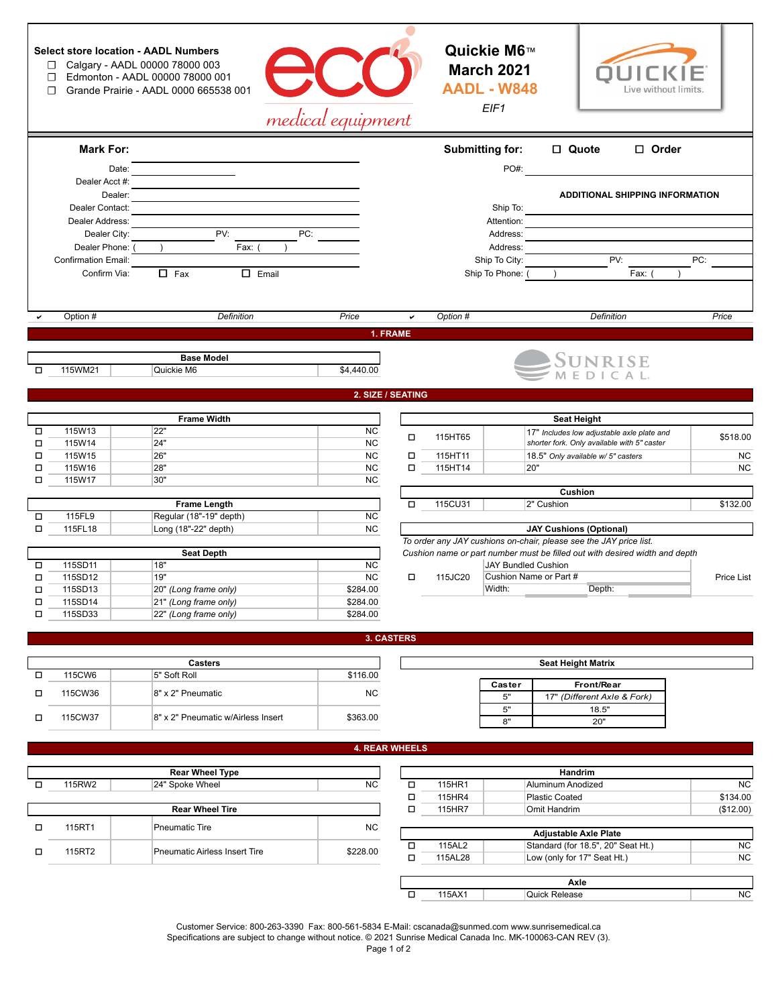|        | ◻<br>□<br>П                     | <b>Select store location - AADL Numbers</b><br>Calgary - AADL 00000 78000 003<br>Edmonton - AADL 00000 78000 001<br>Grande Prairie - AADL 0000 665538 001 |                                    | medical equipment      |                       |          | Quickie M6™<br><b>March 2021</b><br><b>AADL - W848</b><br>EIF1 | Live without limits.                                                              |            |
|--------|---------------------------------|-----------------------------------------------------------------------------------------------------------------------------------------------------------|------------------------------------|------------------------|-----------------------|----------|----------------------------------------------------------------|-----------------------------------------------------------------------------------|------------|
|        | <b>Mark For:</b>                |                                                                                                                                                           |                                    |                        |                       |          | Submitting for:                                                | □ Quote<br>$\Box$ Order                                                           |            |
|        |                                 | Date:                                                                                                                                                     |                                    |                        |                       |          | PO#:                                                           |                                                                                   |            |
|        | Dealer Acct #:                  | Dealer:                                                                                                                                                   |                                    |                        |                       |          |                                                                | <b>ADDITIONAL SHIPPING INFORMATION</b>                                            |            |
|        | Dealer Contact:                 |                                                                                                                                                           |                                    |                        |                       |          | Ship To:                                                       |                                                                                   |            |
|        | Dealer Address:<br>Dealer City: |                                                                                                                                                           | PV:                                | PC:                    |                       |          | Attention:<br>Address:                                         |                                                                                   |            |
|        | Dealer Phone:                   |                                                                                                                                                           | Fax:                               |                        |                       |          | Address:                                                       |                                                                                   |            |
|        | <b>Confirmation Email:</b>      |                                                                                                                                                           |                                    |                        |                       |          | Ship To City:                                                  | PV:                                                                               | PC:        |
|        | Confirm Via:                    | $\Box$ Fax                                                                                                                                                | $\Box$ Email                       |                        |                       |          | Ship To Phone:                                                 | Fax:                                                                              |            |
|        |                                 |                                                                                                                                                           |                                    |                        |                       |          |                                                                |                                                                                   |            |
|        | Option #                        |                                                                                                                                                           | Definition                         | Price                  | $\checkmark$          | Option # |                                                                | Definition                                                                        | Price      |
|        |                                 |                                                                                                                                                           |                                    |                        | 1. FRAME              |          |                                                                |                                                                                   |            |
|        |                                 |                                                                                                                                                           | <b>Base Model</b>                  |                        |                       |          |                                                                | <b>SUNRISE</b>                                                                    |            |
| □      | 115WM21                         | Quickie M6                                                                                                                                                |                                    | \$4,440.00             |                       |          |                                                                |                                                                                   |            |
|        |                                 |                                                                                                                                                           |                                    |                        | 2. SIZE / SEATING     |          |                                                                |                                                                                   |            |
|        |                                 |                                                                                                                                                           |                                    |                        |                       |          |                                                                |                                                                                   |            |
|        |                                 |                                                                                                                                                           | <b>Frame Width</b>                 |                        |                       |          |                                                                | <b>Seat Height</b>                                                                |            |
| □      | 115W13                          | 22"                                                                                                                                                       |                                    | <b>NC</b>              | □                     | 115HT65  |                                                                | 17" Includes low adjustable axle plate and                                        | \$518.00   |
| □<br>□ | 115W14<br>115W15                | 24"<br>26"                                                                                                                                                |                                    | <b>NC</b><br><b>NC</b> | $\Box$                | 115HT11  |                                                                | shorter fork. Only available with 5" caster<br>18.5" Only available w/ 5" casters | <b>NC</b>  |
| $\Box$ | 115W16                          | 28"                                                                                                                                                       |                                    | <b>NC</b>              | $\Box$                | 115HT14  |                                                                | 20"                                                                               | <b>NC</b>  |
| □      | 115W17                          | 30"                                                                                                                                                       |                                    | <b>NC</b>              |                       |          |                                                                |                                                                                   |            |
|        |                                 |                                                                                                                                                           |                                    |                        |                       |          |                                                                | Cushion                                                                           |            |
| $\Box$ | 115FL9                          | Regular (18"-19" depth)                                                                                                                                   | <b>Frame Length</b>                | <b>NC</b>              | □                     | 115CU31  |                                                                | 2" Cushion                                                                        | \$132.00   |
| $\Box$ | 115FL18                         | Long (18"-22" depth)                                                                                                                                      |                                    | <b>NC</b>              |                       |          |                                                                | <b>JAY Cushions (Optional)</b>                                                    |            |
|        |                                 |                                                                                                                                                           |                                    |                        |                       |          |                                                                | To order any JAY cushions on-chair, please see the JAY price list.                |            |
|        |                                 |                                                                                                                                                           | <b>Seat Depth</b>                  |                        |                       |          |                                                                | Cushion name or part number must be filled out with desired width and depth       |            |
| □<br>□ | 115SD11<br>115SD12              | 18"<br>19"                                                                                                                                                |                                    | <b>NC</b><br><b>NC</b> | $\Box$                | 115JC20  | <b>JAY Bundled Cushion</b>                                     | Cushion Name or Part #                                                            | Price List |
| □      | 115SD13                         | 20" (Long frame only)                                                                                                                                     |                                    | \$284.00               |                       |          | Width:                                                         | Depth:                                                                            |            |
| □      | 115SD14                         | 21" (Long frame only)                                                                                                                                     |                                    | \$284.00               |                       |          |                                                                |                                                                                   |            |
| □      | 115SD33                         | 22" (Long frame only)                                                                                                                                     |                                    | \$284.00               |                       |          |                                                                |                                                                                   |            |
|        |                                 |                                                                                                                                                           |                                    |                        | <b>3. CASTERS</b>     |          |                                                                |                                                                                   |            |
|        |                                 |                                                                                                                                                           |                                    |                        |                       |          |                                                                |                                                                                   |            |
| □      | 115CW6                          | 5" Soft Roll                                                                                                                                              | <b>Casters</b>                     | \$116.00               |                       |          |                                                                | <b>Seat Height Matrix</b>                                                         |            |
| о      | 115CW36                         | 8" x 2" Pneumatic                                                                                                                                         |                                    | <b>NC</b>              |                       |          | Caster<br>$5"$                                                 | Front/Rear<br>17" (Different Axle & Fork)                                         |            |
| □      | 115CW37                         |                                                                                                                                                           | 8" x 2" Pneumatic w/Airless Insert | \$363.00               |                       |          | $5"$<br>8"                                                     | 18.5"<br>20"                                                                      |            |
|        |                                 |                                                                                                                                                           |                                    |                        |                       |          |                                                                |                                                                                   |            |
|        |                                 |                                                                                                                                                           |                                    |                        | <b>4. REAR WHEELS</b> |          |                                                                |                                                                                   |            |
|        |                                 |                                                                                                                                                           | <b>Rear Wheel Type</b>             |                        |                       |          |                                                                | Handrim                                                                           |            |
| □      | 115RW2                          | 24" Spoke Wheel                                                                                                                                           |                                    | <b>NC</b>              | $\Box$                | 115HR1   |                                                                | Aluminum Anodized                                                                 | ΝC         |
|        |                                 |                                                                                                                                                           |                                    |                        | $\Box$                | 115HR4   |                                                                | <b>Plastic Coated</b>                                                             | \$134.00   |
|        |                                 |                                                                                                                                                           | <b>Rear Wheel Tire</b>             |                        | □                     | 115HR7   |                                                                | Omit Handrim                                                                      | (\$12.00)  |

| <b>Rear Wheel Tire</b> |                                      |          |      | 115HR7                       | Omit Handrim                       | (\$12.00) |  |  |  |
|------------------------|--------------------------------------|----------|------|------------------------------|------------------------------------|-----------|--|--|--|
|                        | Pneumatic Tire                       | NC.      |      | <b>Adiustable Axle Plate</b> |                                    |           |  |  |  |
|                        | <b>Pneumatic Airless Insert Tire</b> | \$228.00 |      | 115AL2                       | Standard (for 18.5", 20" Seat Ht.) | NC.       |  |  |  |
|                        |                                      |          |      | 115AL28                      | Low (only for 17" Seat Ht.)        | NC.       |  |  |  |
|                        |                                      |          |      |                              |                                    |           |  |  |  |
|                        |                                      |          | Axle |                              |                                    |           |  |  |  |
|                        |                                      |          |      | 115AX1                       | Quick Release                      | NC.       |  |  |  |

Customer Service: 800-263-3390 Fax: 800-561-5834 E-Mail: cscanada@sunmed.com www.sunrisemedical.ca Specifications are subject to change without notice. © 2021 Sunrise Medical Canada Inc. MK-100063-CAN REV (3).

115RT2

115RT1

 $\Box$  $\Box$